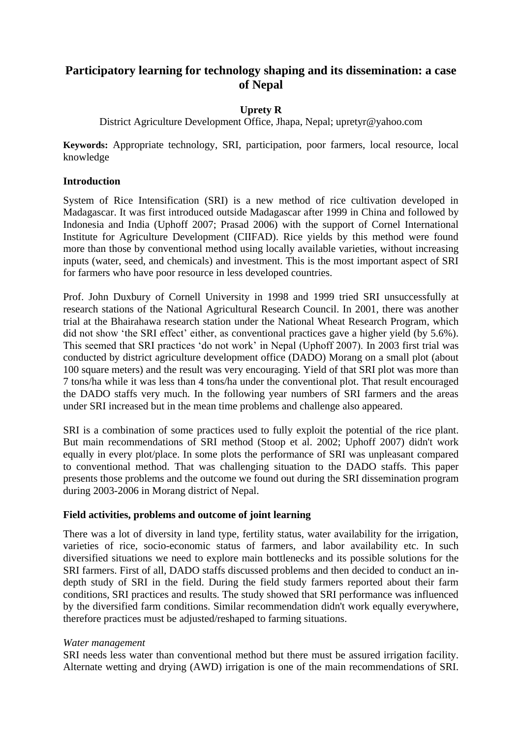# **Participatory learning for technology shaping and its dissemination: a case of Nepal**

## **Uprety R**

District Agriculture Development Office, Jhapa, Nepal; upretyr@yahoo.com

**Keywords:** Appropriate technology, SRI, participation, poor farmers, local resource, local knowledge

## **Introduction**

System of Rice Intensification (SRI) is a new method of rice cultivation developed in Madagascar. It was first introduced outside Madagascar after 1999 in China and followed by Indonesia and India (Uphoff 2007; Prasad 2006) with the support of Cornel International Institute for Agriculture Development (CIIFAD). Rice yields by this method were found more than those by conventional method using locally available varieties, without increasing inputs (water, seed, and chemicals) and investment. This is the most important aspect of SRI for farmers who have poor resource in less developed countries.

Prof. John Duxbury of Cornell University in 1998 and 1999 tried SRI unsuccessfully at research stations of the National Agricultural Research Council. In 2001, there was another trial at the Bhairahawa research station under the National Wheat Research Program, which did not show 'the SRI effect' either, as conventional practices gave a higher yield (by 5.6%). This seemed that SRI practices 'do not work' in Nepal (Uphoff 2007). In 2003 first trial was conducted by district agriculture development office (DADO) Morang on a small plot (about 100 square meters) and the result was very encouraging. Yield of that SRI plot was more than 7 tons/ha while it was less than 4 tons/ha under the conventional plot. That result encouraged the DADO staffs very much. In the following year numbers of SRI farmers and the areas under SRI increased but in the mean time problems and challenge also appeared.

SRI is a combination of some practices used to fully exploit the potential of the rice plant. But main recommendations of SRI method (Stoop et al. 2002; Uphoff 2007) didn't work equally in every plot/place. In some plots the performance of SRI was unpleasant compared to conventional method. That was challenging situation to the DADO staffs. This paper presents those problems and the outcome we found out during the SRI dissemination program during 2003-2006 in Morang district of Nepal.

## **Field activities, problems and outcome of joint learning**

There was a lot of diversity in land type, fertility status, water availability for the irrigation, varieties of rice, socio-economic status of farmers, and labor availability etc. In such diversified situations we need to explore main bottlenecks and its possible solutions for the SRI farmers. First of all, DADO staffs discussed problems and then decided to conduct an indepth study of SRI in the field. During the field study farmers reported about their farm conditions, SRI practices and results. The study showed that SRI performance was influenced by the diversified farm conditions. Similar recommendation didn't work equally everywhere, therefore practices must be adjusted/reshaped to farming situations.

## *Water management*

SRI needs less water than conventional method but there must be assured irrigation facility. Alternate wetting and drying (AWD) irrigation is one of the main recommendations of SRI.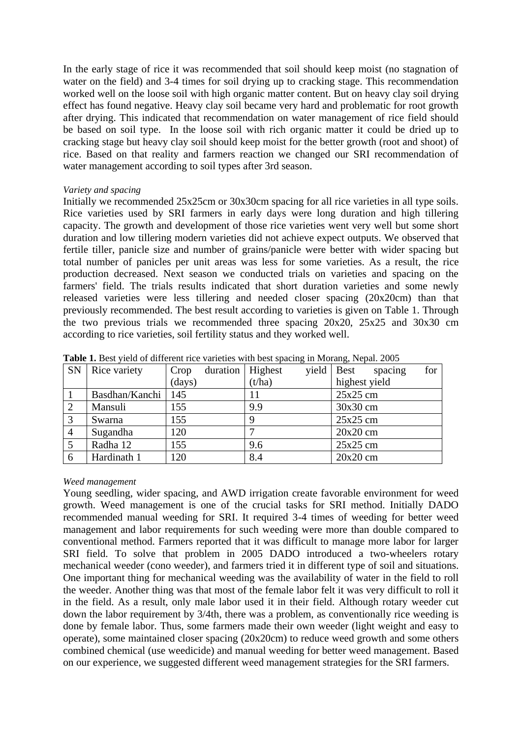In the early stage of rice it was recommended that soil should keep moist (no stagnation of water on the field) and 3-4 times for soil drying up to cracking stage. This recommendation worked well on the loose soil with high organic matter content. But on heavy clay soil drying effect has found negative. Heavy clay soil became very hard and problematic for root growth after drying. This indicated that recommendation on water management of rice field should be based on soil type. In the loose soil with rich organic matter it could be dried up to cracking stage but heavy clay soil should keep moist for the better growth (root and shoot) of rice. Based on that reality and farmers reaction we changed our SRI recommendation of water management according to soil types after 3rd season.

### *Variety and spacing*

Initially we recommended 25x25cm or 30x30cm spacing for all rice varieties in all type soils. Rice varieties used by SRI farmers in early days were long duration and high tillering capacity. The growth and development of those rice varieties went very well but some short duration and low tillering modern varieties did not achieve expect outputs. We observed that fertile tiller, panicle size and number of grains/panicle were better with wider spacing but total number of panicles per unit areas was less for some varieties. As a result, the rice production decreased. Next season we conducted trials on varieties and spacing on the farmers' field. The trials results indicated that short duration varieties and some newly released varieties were less tillering and needed closer spacing (20x20cm) than that previously recommended. The best result according to varieties is given on Table 1. Through the two previous trials we recommended three spacing 20x20, 25x25 and 30x30 cm according to rice varieties, soil fertility status and they worked well.

| <b>SN</b>      | Rice variety   | Crop   | duration   Highest |        | yield   Best  | spacing | for |
|----------------|----------------|--------|--------------------|--------|---------------|---------|-----|
|                |                | (days) |                    | (t/ha) | highest yield |         |     |
|                | Basdhan/Kanchi | 145    |                    |        | $25x25$ cm    |         |     |
|                | Mansuli        | 155    |                    | 9.9    | $30x30$ cm    |         |     |
|                | Swarna         | 155    |                    |        | $25x25$ cm    |         |     |
| $\overline{4}$ | Sugandha       | 120    |                    |        | $20x20$ cm    |         |     |
|                | Radha 12       | 155    |                    | 9.6    | $25x25$ cm    |         |     |
| 6              | Hardinath 1    | 120    |                    | 8.4    | $20x20$ cm    |         |     |

**Table 1.** Best yield of different rice varieties with best spacing in Morang, Nepal. 2005

#### *Weed management*

Young seedling, wider spacing, and AWD irrigation create favorable environment for weed growth. Weed management is one of the crucial tasks for SRI method. Initially DADO recommended manual weeding for SRI. It required 3-4 times of weeding for better weed management and labor requirements for such weeding were more than double compared to conventional method. Farmers reported that it was difficult to manage more labor for larger SRI field. To solve that problem in 2005 DADO introduced a two-wheelers rotary mechanical weeder (cono weeder), and farmers tried it in different type of soil and situations. One important thing for mechanical weeding was the availability of water in the field to roll the weeder. Another thing was that most of the female labor felt it was very difficult to roll it in the field. As a result, only male labor used it in their field. Although rotary weeder cut down the labor requirement by 3/4th, there was a problem, as conventionally rice weeding is done by female labor. Thus, some farmers made their own weeder (light weight and easy to operate), some maintained closer spacing (20x20cm) to reduce weed growth and some others combined chemical (use weedicide) and manual weeding for better weed management. Based on our experience, we suggested different weed management strategies for the SRI farmers.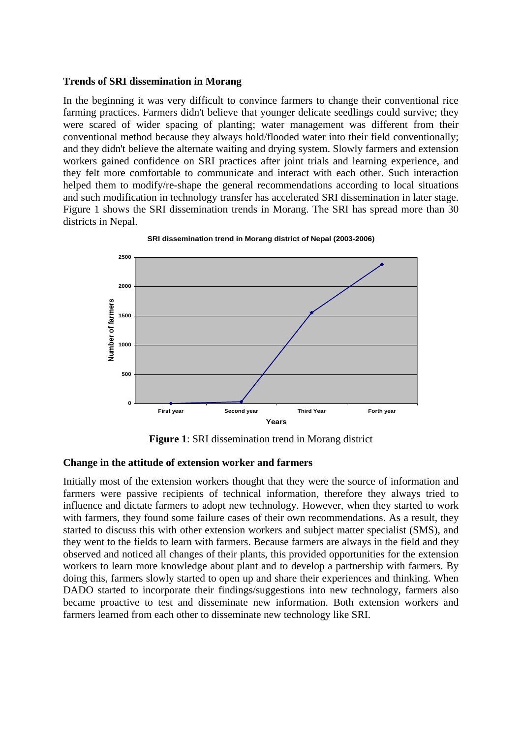#### **Trends of SRI dissemination in Morang**

In the beginning it was very difficult to convince farmers to change their conventional rice farming practices. Farmers didn't believe that younger delicate seedlings could survive; they were scared of wider spacing of planting; water management was different from their conventional method because they always hold/flooded water into their field conventionally; and they didn't believe the alternate waiting and drying system. Slowly farmers and extension workers gained confidence on SRI practices after joint trials and learning experience, and they felt more comfortable to communicate and interact with each other. Such interaction helped them to modify/re-shape the general recommendations according to local situations and such modification in technology transfer has accelerated SRI dissemination in later stage. Figure 1 shows the SRI dissemination trends in Morang. The SRI has spread more than 30 districts in Nepal.



#### **SRI dissemination trend in Morang district of Nepal (2003-2006)**

**Figure 1**: SRI dissemination trend in Morang district

#### **Change in the attitude of extension worker and farmers**

Initially most of the extension workers thought that they were the source of information and farmers were passive recipients of technical information, therefore they always tried to influence and dictate farmers to adopt new technology. However, when they started to work with farmers, they found some failure cases of their own recommendations. As a result, they started to discuss this with other extension workers and subject matter specialist (SMS), and they went to the fields to learn with farmers. Because farmers are always in the field and they observed and noticed all changes of their plants, this provided opportunities for the extension workers to learn more knowledge about plant and to develop a partnership with farmers. By doing this, farmers slowly started to open up and share their experiences and thinking. When DADO started to incorporate their findings/suggestions into new technology, farmers also became proactive to test and disseminate new information. Both extension workers and farmers learned from each other to disseminate new technology like SRI.